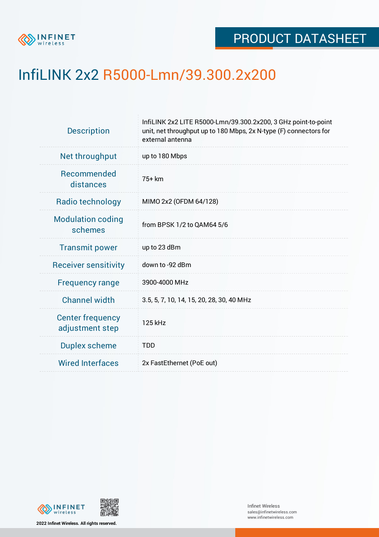

## InfiLINK 2x2 R5000-Lmn/39.300.2x200

| Net throughput<br>up to 180 Mbps<br>Recommended<br>75+ km<br>distances<br>Radio technology<br>MIMO 2x2 (OFDM 64/128)<br><b>Modulation coding</b><br>from BPSK 1/2 to QAM64 5/6<br>schemes<br><b>Transmit power</b><br>up to 23 dBm<br>down to -92 dBm<br><b>Receiver sensitivity</b><br>3900-4000 MHz<br><b>Frequency range</b><br><b>Channel width</b><br>3.5, 5, 7, 10, 14, 15, 20, 28, 30, 40 MHz<br><b>Center frequency</b><br>125 kHz<br>adjustment step<br>Duplex scheme<br><b>TDD</b><br><b>Wired Interfaces</b><br>2x FastEthernet (PoE out) | <b>Description</b> | InfiLINK 2x2 LITE R5000-Lmn/39.300.2x200, 3 GHz point-to-point<br>unit, net throughput up to 180 Mbps, 2x N-type (F) connectors for<br>external antenna |  |  |  |  |
|------------------------------------------------------------------------------------------------------------------------------------------------------------------------------------------------------------------------------------------------------------------------------------------------------------------------------------------------------------------------------------------------------------------------------------------------------------------------------------------------------------------------------------------------------|--------------------|---------------------------------------------------------------------------------------------------------------------------------------------------------|--|--|--|--|
|                                                                                                                                                                                                                                                                                                                                                                                                                                                                                                                                                      |                    |                                                                                                                                                         |  |  |  |  |
|                                                                                                                                                                                                                                                                                                                                                                                                                                                                                                                                                      |                    |                                                                                                                                                         |  |  |  |  |
|                                                                                                                                                                                                                                                                                                                                                                                                                                                                                                                                                      |                    |                                                                                                                                                         |  |  |  |  |
|                                                                                                                                                                                                                                                                                                                                                                                                                                                                                                                                                      |                    |                                                                                                                                                         |  |  |  |  |
|                                                                                                                                                                                                                                                                                                                                                                                                                                                                                                                                                      |                    |                                                                                                                                                         |  |  |  |  |
|                                                                                                                                                                                                                                                                                                                                                                                                                                                                                                                                                      |                    |                                                                                                                                                         |  |  |  |  |
|                                                                                                                                                                                                                                                                                                                                                                                                                                                                                                                                                      |                    |                                                                                                                                                         |  |  |  |  |
|                                                                                                                                                                                                                                                                                                                                                                                                                                                                                                                                                      |                    |                                                                                                                                                         |  |  |  |  |
|                                                                                                                                                                                                                                                                                                                                                                                                                                                                                                                                                      |                    |                                                                                                                                                         |  |  |  |  |
|                                                                                                                                                                                                                                                                                                                                                                                                                                                                                                                                                      |                    |                                                                                                                                                         |  |  |  |  |
|                                                                                                                                                                                                                                                                                                                                                                                                                                                                                                                                                      |                    |                                                                                                                                                         |  |  |  |  |



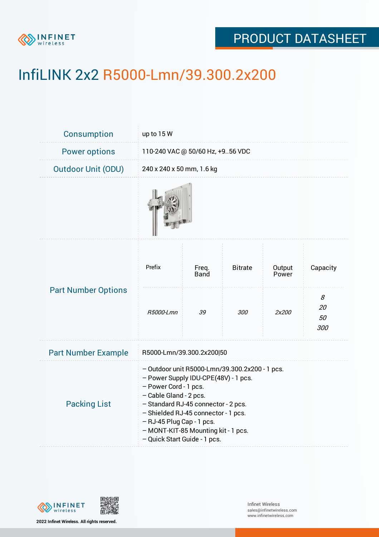

## PRODUCT DATASHEET

# InfiLINK 2x2 R5000-Lmn/39.300.2x200

| <b>Consumption</b>         | up to 15 W                                                                                                                                                                                                                                                                                                                  |                      |                |                 |                      |  |
|----------------------------|-----------------------------------------------------------------------------------------------------------------------------------------------------------------------------------------------------------------------------------------------------------------------------------------------------------------------------|----------------------|----------------|-----------------|----------------------|--|
| <b>Power options</b>       | 110-240 VAC @ 50/60 Hz, +956 VDC                                                                                                                                                                                                                                                                                            |                      |                |                 |                      |  |
| <b>Outdoor Unit (ODU)</b>  | 240 x 240 x 50 mm, 1.6 kg                                                                                                                                                                                                                                                                                                   |                      |                |                 |                      |  |
|                            |                                                                                                                                                                                                                                                                                                                             |                      |                |                 |                      |  |
| <b>Part Number Options</b> | Prefix                                                                                                                                                                                                                                                                                                                      | Freq.<br><b>Band</b> | <b>Bitrate</b> | Output<br>Power | Capacity             |  |
|                            | R5000-Lmn                                                                                                                                                                                                                                                                                                                   | 39                   | 300            | 2x200           | 8<br>20<br>50<br>300 |  |
| <b>Part Number Example</b> | R5000-Lmn/39.300.2x200 50                                                                                                                                                                                                                                                                                                   |                      |                |                 |                      |  |
| <b>Packing List</b>        | - Outdoor unit R5000-Lmn/39.300.2x200 - 1 pcs.<br>- Power Supply IDU-CPE(48V) - 1 pcs.<br>- Power Cord - 1 pcs.<br>- Cable Gland - 2 pcs.<br>- Standard RJ-45 connector - 2 pcs.<br>- Shielded RJ-45 connector - 1 pcs.<br>- RJ-45 Plug Cap - 1 pcs.<br>- MONT-KIT-85 Mounting kit - 1 pcs.<br>- Quick Start Guide - 1 pcs. |                      |                |                 |                      |  |

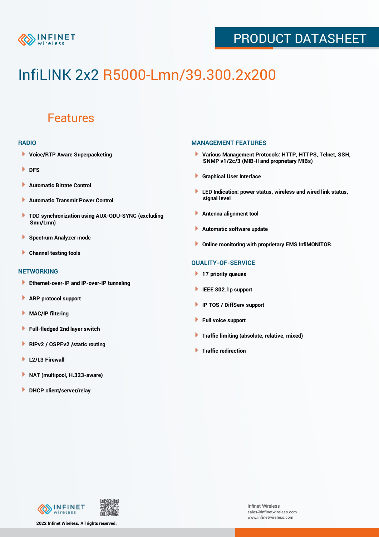

## PRODUCT DATASHEET

# InfiLINK 2x2 R5000-Lmn/39.300.2x200

### Features

#### **RADIO**

- **Voice/RTP Aware Superpacketing**
- **DFS**
- **Automatic Bitrate Control** Þ
- Þ **Automatic Transmit Power Control**
- ь **TDD synchronization using AUX-ODU-SYNC (excluding Smn/Lmn)**
- **Spectrum Analyzer mode** ۰
- **Channel testing tools** ١

#### **NETWORKING**

- **Ethernet-over-IP and IP-over-IP tunneling**
- Þ **ARP protocol support**
- ۱ **MAC/IP filtering**
- Þ **Full-fledged 2nd layer switch**
- Þ **RIPv2 / OSPFv2 /static routing**
- **L2/L3 Firewall** Þ
- **NAT (multipool, H.323-aware)** Þ
- **DHCP client/server/relay**

#### **MANAGEMENT FEATURES**

- **Various Management Protocols: HTTP, HTTPS, Telnet, SSH, SNMP v1/2c/3 (MIB-II and proprietary MIBs)**
- **Graphical User Interface**
- **LED Indication: power status, wireless and wired link status, signal level**
- **Antenna alignment tool**
- ٠ **Automatic software update**
- **Online monitoring with proprietary EMS InfiMONITOR.**

#### **QUALITY-OF-SERVICE**

- **17 priority queues**
- **IEEE 802.1p support**
- **IP TOS / DiffServ support**
- ٠ **Full voice support**
- **Traffic limiting (absolute, relative, mixed)** ٠
- **Traffic redirection**